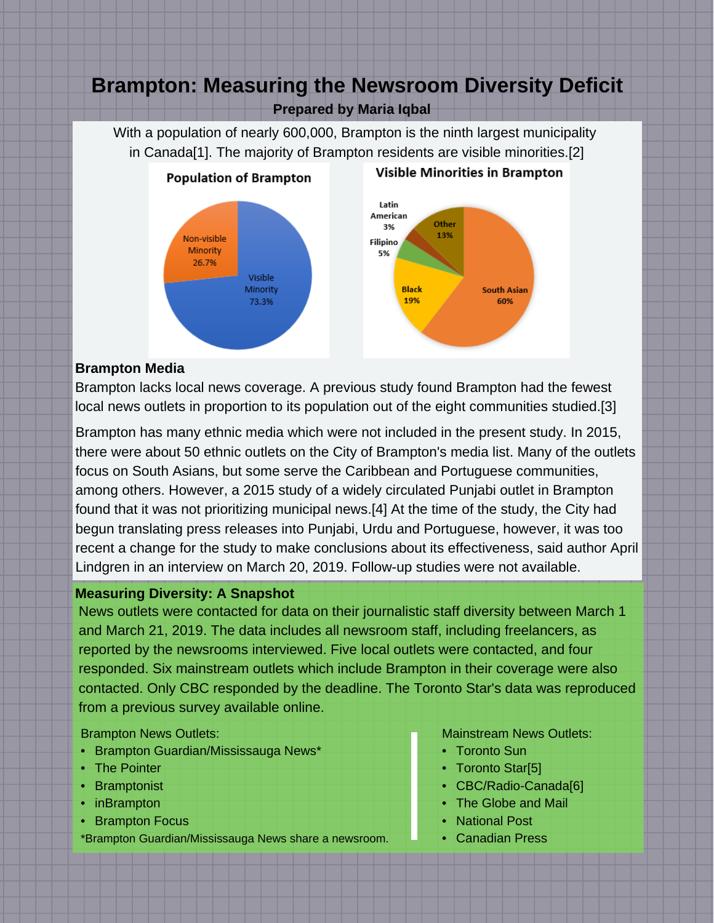# **Brampton: Measuring the Newsroom Diversity Deficit Prepared by Maria Iqbal**

With a population of nearly 600,000, Brampton is the ninth largest municipality in Canada[1]. The majority of Brampton residents are visible minorities.[2]



## **Brampton Media**

Brampton lacks local news coverage. A previous study found Brampton had the fewest local news outlets in proportion to its population out of the eight communities studied.[3]

Brampton has many ethnic media which were not included in the present study. In 2015, there were about 50 ethnic outlets on the City of Brampton's media list. Many of the outlets focus on South Asians, but some serve the Caribbean and Portuguese communities, among others. However, a 2015 study of a widely circulated Punjabi outlet in Brampton found that it was not prioritizing municipal news.[4] At the time of the study, the City had begun translating press releases into Punjabi, Urdu and Portuguese, however, it was too recent a change for the study to make conclusions about its effectiveness, said author April Lindgren in an interview on March 20, 2019. Follow-up studies were not available.

## **Measuring Diversity: A Snapshot**

News outlets were contacted for data on their journalistic staff diversity between March 1 and March 21, 2019. The data includes all newsroom staff, including freelancers, as reported by the newsrooms interviewed. Five local outlets were contacted, and four responded. Six mainstream outlets which include Brampton in their coverage were also contacted. Only CBC responded by the deadline. The Toronto Star's data was reproduced from a previous survey available online.

Brampton News Outlets:

- Brampton Guardian/Mississauga News\*
- The Pointer
- Bramptonist
- inBrampton
- Brampton Focus

\*Brampton Guardian/Mississauga News share a newsroom.

Mainstream News Outlets:

- Toronto Sun
- Toronto Star<sup>[5]</sup>
- CBC/Radio-Canada[6]
- The Globe and Mail
- National Post
- Canadian Press